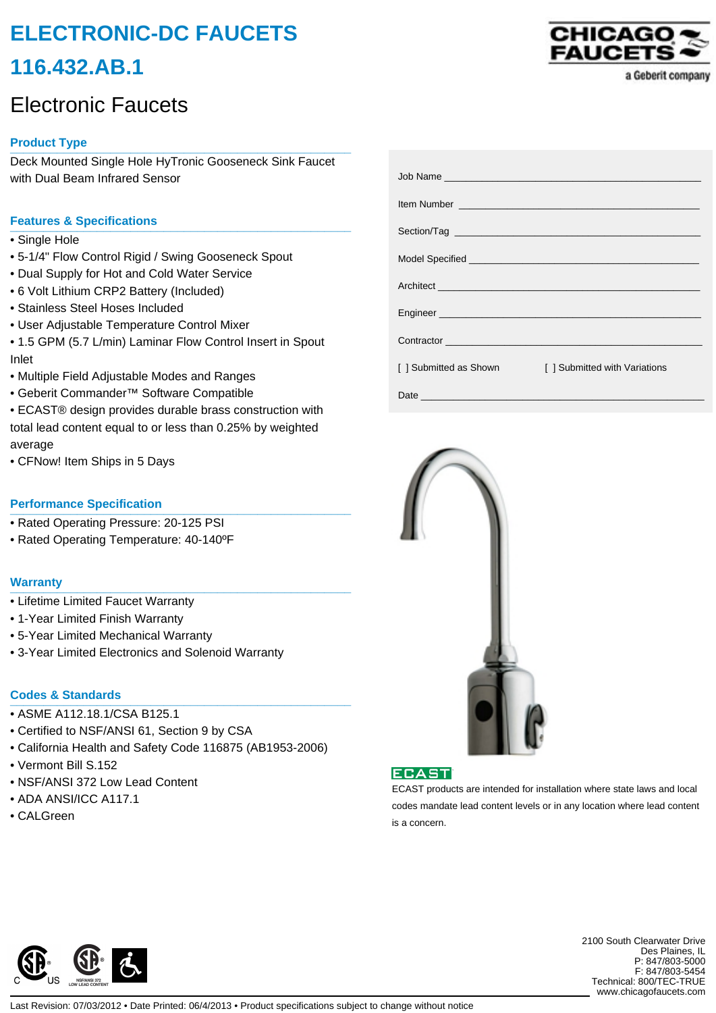# **ELECTRONIC-DC FAUCETS 116.432.AB.1**

## Electronic Faucets

## **Product Type \_\_\_\_\_\_\_\_\_\_\_\_\_\_\_\_\_\_\_\_\_\_\_\_\_\_\_\_\_\_\_\_\_\_\_\_\_\_\_\_\_\_\_\_\_\_\_\_\_\_\_**

Deck Mounted Single Hole HyTronic Gooseneck Sink Faucet with Dual Beam Infrared Sensor

### **Features & Specifications \_\_\_\_\_\_\_\_\_\_\_\_\_\_\_\_\_\_\_\_\_\_\_\_\_\_\_\_\_\_\_\_\_\_\_\_\_\_\_\_\_\_\_\_\_\_\_\_\_\_\_**

- Single Hole
- 5-1/4" Flow Control Rigid / Swing Gooseneck Spout
- Dual Supply for Hot and Cold Water Service
- 6 Volt Lithium CRP2 Battery (Included)
- Stainless Steel Hoses Included
- User Adjustable Temperature Control Mixer

• 1.5 GPM (5.7 L/min) Laminar Flow Control Insert in Spout Inlet

- Multiple Field Adjustable Modes and Ranges
- Geberit Commander™ Software Compatible
- ECAST® design provides durable brass construction with total lead content equal to or less than 0.25% by weighted average
- CFNow! Item Ships in 5 Days

### **Performance Specification**

- Rated Operating Pressure: 20-125 PSI
- Rated Operating Temperature: 40-140ºF

#### **Warranty \_\_\_\_\_\_\_\_\_\_\_\_\_\_\_\_\_\_\_\_\_\_\_\_\_\_\_\_\_\_\_\_\_\_\_\_\_\_\_\_\_\_\_\_\_\_\_\_\_\_\_**

- Lifetime Limited Faucet Warranty
- 1-Year Limited Finish Warranty
- 5-Year Limited Mechanical Warranty
- 3-Year Limited Electronics and Solenoid Warranty

## **Codes & Standards \_\_\_\_\_\_\_\_\_\_\_\_\_\_\_\_\_\_\_\_\_\_\_\_\_\_\_\_\_\_\_\_\_\_\_\_\_\_\_\_\_\_\_\_\_\_\_\_\_\_\_**

- ASME A112.18.1/CSA B125.1
- Certified to NSF/ANSI 61, Section 9 by CSA
- California Health and Safety Code 116875 (AB1953-2006)
- Vermont Bill S.152
- NSF/ANSI 372 Low Lead Content
- ADA ANSI/ICC A117.1
- CALGreen



|                        | Item Number <u>Number</u> 2008 and 2009 and 2009 and 2009 and 2009 and 2009 and 2009 and 2009 and 2009 and 2009 and 2009 and 2009 and 2009 and 2009 and 2009 and 2009 and 2009 and 2009 and 2009 and 2009 and 2009 and 2009 and 200 |
|------------------------|-------------------------------------------------------------------------------------------------------------------------------------------------------------------------------------------------------------------------------------|
|                        |                                                                                                                                                                                                                                     |
|                        |                                                                                                                                                                                                                                     |
|                        |                                                                                                                                                                                                                                     |
|                        |                                                                                                                                                                                                                                     |
|                        |                                                                                                                                                                                                                                     |
| [ ] Submitted as Shown | [ ] Submitted with Variations                                                                                                                                                                                                       |
|                        |                                                                                                                                                                                                                                     |





ECAST products are intended for installation where state laws and local codes mandate lead content levels or in any location where lead content is a concern.



2100 South Clearwater Drive Des Plaines, IL P: 847/803-5000 F: 847/803-5454 Technical: 800/TEC-TRUE www.chicagofaucets.com